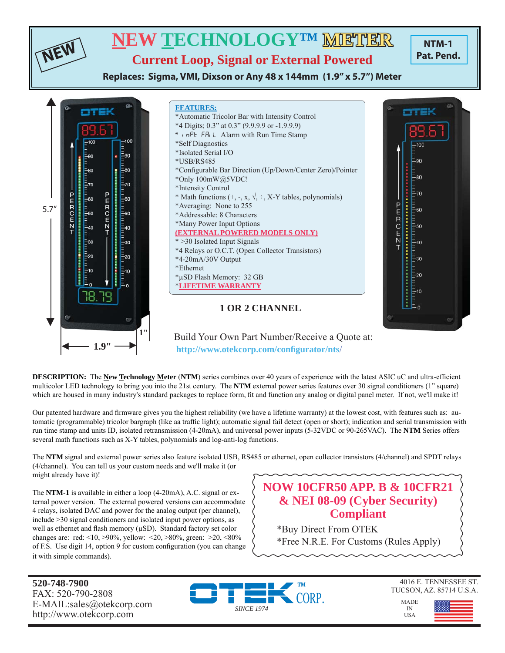

 **http://www.otekcorp.com/confi gurator/nts**/

**DESCRIPTION:** The **New Technology Meter** (NTM) series combines over 40 years of experience with the latest ASIC uC and ultra-efficient multicolor LED technology to bring you into the 21st century. The **NTM** external power series features over 30 signal conditioners (1" square) which are housed in many industry's standard packages to replace form, fi t and function any analog or digital panel meter. If not, we'll make it!

Our patented hardware and firmware gives you the highest reliability (we have a lifetime warranty) at the lowest cost, with features such as: automatic (programmable) tricolor bargraph (like aa traffic light); automatic signal fail detect (open or short); indication and serial transmission with run time stamp and units ID, isolated retransmission (4-20mA), and universal power inputs (5-32VDC or 90-265VAC). The **NTM** Series offers several math functions such as X-Y tables, polynomials and log-anti-log functions.

The **NTM** signal and external power series also feature isolated USB, RS485 or ethernet, open collector transistors (4/channel) and SPDT relays (4/channel). You can tell us your custom needs and we'll make it (or might already have it)!

The **NTM-1** is available in either a loop (4-20mA), A.C. signal or external power version. The external powered versions can accommodate 4 relays, isolated DAC and power for the analog output (per channel), include >30 signal conditioners and isolated input power options, as well as ethernet and flash memory  $(\mu SD)$ . Standard factory set color changes are: red: <10, >90%, yellow: <20, >80%, green: >20, <80% of F.S. Use digit 14, option 9 for custom configuration (you can change it with simple commands).

# **NOW 10CFR50 APP. B & 10CFR21 & NEI 08-09 (Cyber Security) Compliant**

\*Buy Direct From OTEK \*Free N.R.E. For Customs (Rules Apply)

**520-748-7900** FAX: 520-790-2808 E-MAIL:sales@otekcorp.com http://www.otekcorp.com

◄ **1.9"** ►





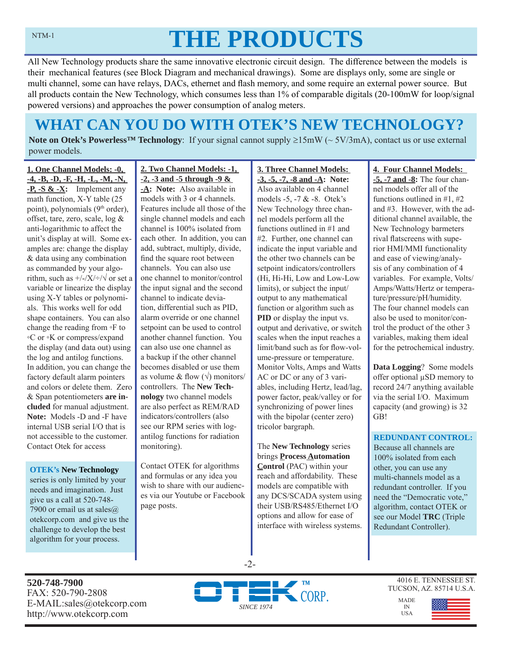# **THE PRODUCTS**

All New Technology products share the same innovative electronic circuit design. The difference between the models is their mechanical features (see Block Diagram and mechanical drawings). Some are displays only, some are single or multi channel, some can have relays, DACs, ethernet and flash memory, and some require an external power source. But all products contain the New Technology, which consumes less than 1% of comparable digitals (20-100mW for loop/signal powered versions) and approaches the power consumption of analog meters.

# **WHAT CAN YOU DO WITH OTEK'S NEW TECHNOLOGY?**

**Note on Otek's Powerless<sup>™</sup> Technology**: If your signal cannot supply  $\geq 15$ mW (~ 5V/3mA), contact us or use external power models.

**1. One Channel Models: -0, -4, -B, -D, -F, -H, -L, -M, -N, -P, -S & -X:** Implement any math function, X-Y table (25 point), polynomials (9<sup>th</sup> order), offset, tare, zero, scale, log & anti-logarithmic to affect the unit's display at will. Some examples are: change the display & data using any combination as commanded by your algorithm, such as  $\frac{+}{-}\sqrt{\sqrt{2}}$  or set a variable or linearize the display using X-Y tables or polynomials. This works well for odd shape containers. You can also change the reading from ◦F to ◦C or ◦K or compress/expand the display (and data out) using the log and antilog functions. In addition, you can change the factory default alarm pointers and colors or delete them. Zero & Span potentiometers **are included** for manual adjustment. **Note:** Models -D and -F have internal USB serial I/O that is not accessible to the customer. Contact Otek for access

#### **OTEK's New Technology**

series is only limited by your needs and imagination. Just give us a call at 520-748- 7900 or email us at sales@ otekcorp.com and give us the challenge to develop the best algorithm for your process.

#### **2. Two Channel Models: -1, -2, -3 and -5 through -9 & -A: Note:** Also available in models with 3 or 4 channels. Features include all those of the single channel models and each channel is 100% isolated from each other. In addition, you can add, subtract, multiply, divide, find the square root between channels. You can also use one channel to monitor/control the input signal and the second channel to indicate deviation, differential such as PID, alarm override or one channel setpoint can be used to control another channel function. You can also use one channel as a backup if the other channel becomes disabled or use them as volume & flow  $(\sqrt{})$  monitors/ controllers. The **New Technology** two channel models are also perfect as REM/RAD indicators/controllers (also see our RPM series with logantilog functions for radiation monitoring).

Contact OTEK for algorithms and formulas or any idea you wish to share with our audiences via our Youtube or Facebook page posts.

#### **3. Three Channel Models: -3, -5, -7, -8 and -A: Note:**  Also available on 4 channel models -5, -7 & -8. Otek's New Technology three channel models perform all the functions outlined in #1 and #2. Further, one channel can indicate the input variable and the other two channels can be setpoint indicators/controllers (Hi, Hi-Hi, Low and Low-Low limits), or subject the input/ output to any mathematical function or algorithm such as **PID** or display the input vs. output and derivative, or switch scales when the input reaches a limit/band such as for flow-volume-pressure or temperature. Monitor Volts, Amps and Watts AC or DC or any of 3 variables, including Hertz, lead/lag, power factor, peak/valley or for synchronizing of power lines with the bipolar (center zero) tricolor bargraph.

The **New Technology** series brings **Process Automation Control** (PAC) within your reach and affordability. These models are compatible with any DCS/SCADA system using their USB/RS485/Ethernet I/O options and allow for ease of interface with wireless systems.

### **4. Four Channel Models:**

**-5, -7 and -8:** The four channel models offer all of the functions outlined in #1, #2 and #3. However, with the additional channel available, the New Technology barmeters rival flatscreens with superior HMI/MMI functionality and ease of viewing/analysis of any combination of 4 variables. For example, Volts/ Amps/Watts/Hertz or temperature/pressure/pH/humidity. The four channel models can also be used to monitor/control the product of the other 3 variables, making them ideal for the petrochemical industry.

**Data Logging**? Some models offer optional μSD memory to record 24/7 anything available via the serial I/O. Maximum capacity (and growing) is 32 GB!

### **REDUNDANT CONTROL:**

Because all channels are 100% isolated from each other, you can use any multi-channels model as a redundant controller. If you need the "Democratic vote," algorithm, contact OTEK or see our Model **TRC** (Triple Redundant Controller).

**520-748-7900** FAX: 520-790-2808 E-MAIL:sales@otekcorp.com http://www.otekcorp.com



-2-

4016 E. TENNESSEE ST. TUCSON, AZ. 85714 U.S.A.

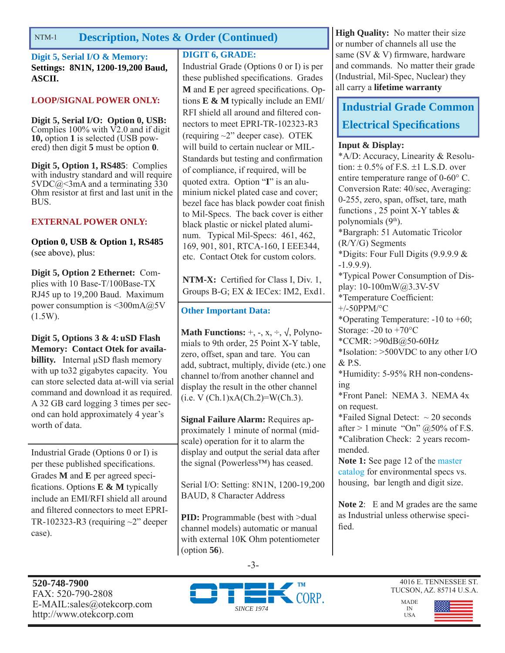## NTM-1 **Description, Notes & Order (Continued) High Quality:** No matter their size

**Digit 5, Serial I/O & Memory: Settings: 8N1N, 1200-19,200 Baud, ASCII.**

### **LOOP/SIGNAL POWER ONLY:**

**Digit 5, Serial I/O: Option 0, USB:**  Complies  $100\%$  with  $\overline{V2.0}$  and if digit **10,** option **1** is selected (USB powered) then digit **5** must be option **0**.

**Digit 5, Option 1, RS485**: Complies with industry standard and will require  $5VDC@>3mA$  and a terminating 330 Ohm resistor at first and last unit in the BUS.

### **EXTERNAL POWER ONLY:**

**Option 0, USB & Option 1, RS485**  (see above), plus:

**Digit 5, Option 2 Ethernet:** Complies with 10 Base-T/100Base-TX RJ45 up to 19,200 Baud. Maximum power consumption is <300mA@5V (1.5W).

**Digit 5, Options 3 & 4: uSD Flash Memory: Contact Otek for availabillity.** Internal μSD flash memory with up to32 gigabytes capacity. You can store selected data at-will via serial command and download it as required. A 32 GB card logging 3 times per second can hold approximately 4 year's worth of data.

Industrial Grade (Options 0 or I) is per these published specifications. Grades **M** and **E** per agreed specifications. Options **E & M** typically include an EMI/RFI shield all around and filtered connectors to meet EPRI-TR-102323-R3 (requiring  $\sim$ 2" deeper case).

### **DIGIT 6, GRADE:**

Industrial Grade (Options 0 or I) is per these published specifications. Grades **M** and **E** per agreed specifications. Options **E & M** typically include an EMI/ RFI shield all around and filtered connectors to meet EPRI-TR-102323-R3 (requiring ~2" deeper case). OTEK will build to certain nuclear or MIL-Standards but testing and confirmation of compliance, if required, will be quoted extra. Option "**I**" is an aluminium nickel plated case and cover; bezel face has black powder coat finish to Mil-Specs. The back cover is either black plastic or nickel plated aluminum. Typical Mil-Specs: 461, 462, 169, 901, 801, RTCA-160, I EEE344, etc. Contact Otek for custom colors.

**NTM-X:** Certified for Class I, Div. 1, Groups B-G; EX & IECex: IM2, Exd1.

### **Other Important Data:**

**Math Functions:**  $+$ ,  $-$ ,  $x$ ,  $\div$ ,  $\sqrt{}$ , Polynomials to 9th order, 25 Point X-Y table, zero, offset, span and tare. You can add, subtract, multiply, divide (etc.) one channel to/from another channel and display the result in the other channel  $(i.e. V (Ch.1)xA(Ch.2)=W(Ch.3).$ 

**Signal Failure Alarm:** Requires approximately 1 minute of normal (midscale) operation for it to alarm the display and output the serial data after the signal (Powerless™) has ceased.

Serial I/O: Setting: 8N1N, 1200-19,200 BAUD, 8 Character Address

**PID:** Programmable (best with  $>$ dual channel models) automatic or manual with external 10K Ohm potentiometer (option **56**).

or number of channels all use the same (SV & V) firmware, hardware and commands. No matter their grade (Industrial, Mil-Spec, Nuclear) they all carry a **lifetime warranty**

### **Industrial Grade Common Electrical Specifications**

### **Input & Display:**

\*A/D: Accuracy, Linearity & Resolution:  $\pm$  0.5% of F.S.  $\pm$ 1 L.S.D. over entire temperature range of  $0\n-60^{\circ}$  C. Conversion Rate: 40/sec, Averaging: 0-255, zero, span, offset, tare, math functions , 25 point X-Y tables & polynomials  $(9<sup>th</sup>)$ . \*Bargraph: 51 Automatic Tricolor (R/Y/G) Segments \*Digits: Four Full Digits (9.9.9.9 & -1.9.9.9). \*Typical Power Consumption of Display: 10-100mW@3.3V-5V \*Temperature Coefficient: +/-50PPM/°C \*Operating Temperature: -10 to +60; Storage:  $-20$  to  $+70^{\circ}$ C \*CCMR: >90dB@50-60Hz \*Isolation: >500VDC to any other I/O & P.S. \*Humidity: 5-95% RH non-condensing \*Front Panel: NEMA 3. NEMA 4x on request. \*Failed Signal Detect:  $\sim$  20 seconds after  $> 1$  minute "On"  $@50\%$  of F.S. \*Calibration Check: 2 years recommended. **Note 1:** See page 12 of the master catalog for environmental specs vs. housing, bar length and digit size.

**Note 2**: E and M grades are the same as Industrial unless otherwise specified.





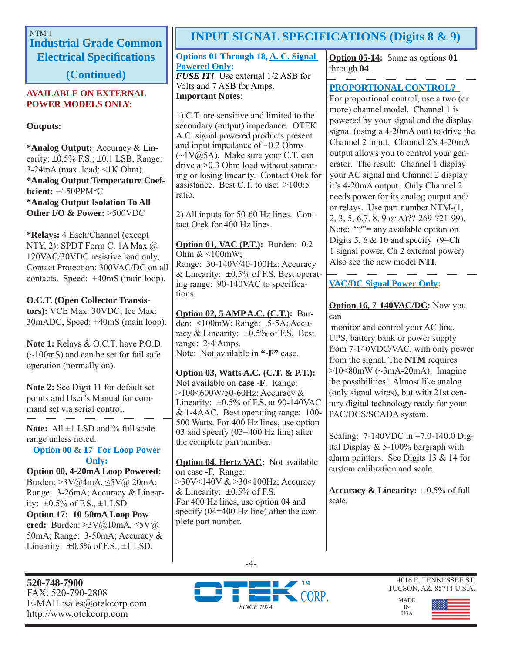# **Industrial Grade Common Electrical Specifi cations**

**(Continued)**

### **AVAILABLE ON EXTERNAL POWER MODELS ONLY:**

### **Outputs:**

**\*Analog Output:** Accuracy & Linearity:  $\pm 0.5\%$  F.S.;  $\pm 0.1$  LSB, Range: 3-24mA (max. load: <1K Ohm). **\*Analog Output Temperature Coeffi cient:** +/-50PPM°C **\*Analog Output Isolation To All Other I/O & Power:** >500VDC

**\*Relays:** 4 Each/Channel (except NTY, 2): SPDT Form C, 1A Max @ 120VAC/30VDC resistive load only, Contact Protection: 300VAC/DC on all contacts. Speed: +40mS (main loop).

### **O.C.T. (Open Collector Transis-**

**tors):** VCE Max: 30VDC; Ice Max: 30mADC, Speed: +40mS (main loop).

**Note 1:** Relays & O.C.T. have P.O.D. (~100mS) and can be set for fail safe operation (normally on).

**Note 2:** See Digit 11 for default set points and User's Manual for command set via serial control.

Note: All  $\pm$ 1 LSD and % full scale range unless noted.

### **Option 00 & 17 For Loop Power Only:**

**Option 00, 4-20mA Loop Powered:**  Burden: >3V@4mA, ≤5V@ 20mA; Range: 3-26mA; Accuracy & Linearity:  $\pm 0.5\%$  of F.S.,  $\pm 1$  LSD. **Option 17: 10-50mA Loop Powered:** Burden: >3V@10mA, ≤5V@ 50mA; Range: 3-50mA; Accuracy & Linearity:  $\pm 0.5\%$  of F.S.,  $\pm 1$  LSD.

**520-748-7900** FAX: 520-790-2808 E-MAIL:sales@otekcorp.com http://www.otekcorp.com

# NTM-1 **INPUT SIGNAL SPECIFICATIONS (Digits 8 & 9)**

**Options 01 Through 18, A. C. Signal Powered Only:** *FUSE IT!* Use external 1/2 ASB for Volts and 7 ASB for Amps. **Important Notes**:

1) C.T. are sensitive and limited to the secondary (output) impedance. OTEK A.C. signal powered products present and input impedance of  $\sim 0.2$  Ohms  $(\sim 1 \text{V}(\bar{\omega})$ 5A). Make sure your C.T. can drive a >0.3 Ohm load without saturating or losing linearity. Contact Otek for assistance. Best C.T. to use:  $>100:5$ ratio.

2) All inputs for 50-60 Hz lines. Contact Otek for 400 Hz lines.

**Option 01, VAC (P.T.):** Burden: 0.2 Ohm  $<100$ mW; Range: 30-140V/40-100Hz; Accuracy & Linearity:  $\pm 0.5\%$  of F.S. Best operating range: 90-140VAC to specifications.

**Option 02, 5 AMP A.C. (C.T.):** Burden: <100mW; Range: .5-5A; Accuracy & Linearity:  $\pm 0.5\%$  of F.S. Best range: 2-4 Amps. Note: Not available in **"-F"** case.

**Option 03, Watts A.C. (C.T. & P.T.):** Not available on **case -F**. Range: >100<600W/50-60Hz; Accuracy & Linearity:  $\pm 0.5\%$  of F.S. at 90-140VAC & 1-4AAC. Best operating range: 100- 500 Watts. For 400 Hz lines, use option 03 and specify (03=400 Hz line) after the complete part number.

**Option 04, Hertz VAC:** Not available on case -F. Range: >30V<140V & >30<100Hz; Accuracy & Linearity:  $\pm 0.5\%$  of F.S. For 400 Hz lines, use option 04 and specify (04=400 Hz line) after the complete part number.

**Option 05-14:** Same as options **01** through **04**.

### **PROPORTIONAL CONTROL?**

For proportional control, use a two (or more) channel model. Channel 1 is powered by your signal and the display signal (using a 4-20mA out) to drive the Channel 2 input. Channel 2's 4-20mA output allows you to control your generator. The result: Channel 1 display your AC signal and Channel 2 display it's 4-20mA output. Only Channel 2 needs power for its analog output and/ or relays. Use part number NTM-(1, 2, 3, 5, 6,7, 8, 9 or A)??-269-?21-99). Note: "?"= any available option on Digits 5, 6  $& 10$  and specify (9=Ch) 1 signal power, Ch 2 external power). Also see the new model **NTI**.

### **VAC/DC Signal Power Only:**

### **Option 16, 7-140VAC/DC:** Now you can

 monitor and control your AC line, UPS, battery bank or power supply from 7-140VDC/VAC, with only power from the signal. The **NTM** requires  $>10<80$ mW ( $\sim$ 3mA-20mA). Imagine the possibilities! Almost like analog (only signal wires), but with 21st century digital technology ready for your PAC/DCS/SCADA system.

Scaling: 7-140VDC in =7.0-140.0 Digital Display & 5-100% bargraph with alarm pointers. See Digits 13 & 14 for custom calibration and scale.

**Accuracy & Linearity:**  $\pm 0.5\%$  of full scale.

> MADE IN USA





4016 E. TENNESSEE ST. TUCSON, AZ. 85714 U.S.A.

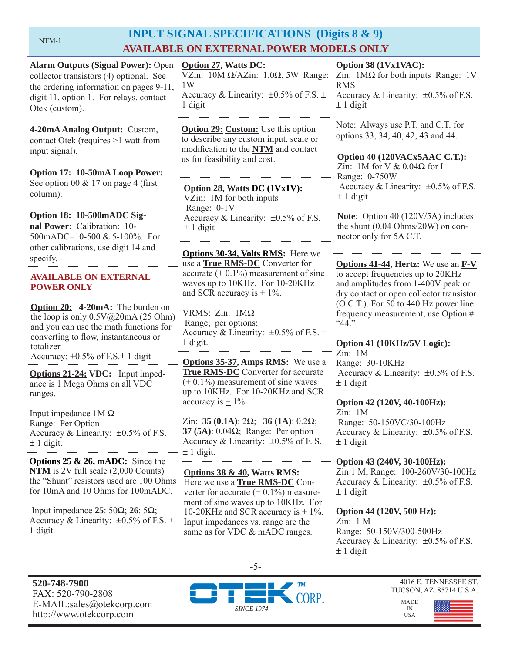# NTM-1 **INPUT SIGNAL SPECIFICATIONS (Digits 8 & 9) AVAILABLE ON EXTERNAL POWER MODELS ONLY**

| <b>Alarm Outputs (Signal Power): Open</b><br>collector transistors (4) optional. See<br>the ordering information on pages 9-11,<br>digit 11, option 1. For relays, contact<br>Otek (custom). | <b>Option 27, Watts DC:</b><br>VZin: $10M \Omega/AZ$ in: $1.0\Omega$ , 5W Range:<br>1W<br>Accuracy & Linearity: $\pm 0.5\%$ of F.S. $\pm$<br>1 digit  | Option 38 (1Vx1VAC):<br>Zin: $1\text{M}\Omega$ for both inputs Range: 1V<br><b>RMS</b><br>Accuracy & Linearity: $\pm 0.5\%$ of F.S.<br>$\pm$ 1 digit |
|----------------------------------------------------------------------------------------------------------------------------------------------------------------------------------------------|-------------------------------------------------------------------------------------------------------------------------------------------------------|------------------------------------------------------------------------------------------------------------------------------------------------------|
| 4-20mA Analog Output: Custom,<br>contact Otek (requires >1 watt from                                                                                                                         | <b>Option 29: Custom:</b> Use this option<br>to describe any custom input, scale or<br>modification to the NTM and contact                            | Note: Always use P.T. and C.T. for<br>options 33, 34, 40, 42, 43 and 44.                                                                             |
| input signal).<br>Option 17: 10-50mA Loop Power:<br>See option 00 $& 17$ on page 4 (first<br>column).                                                                                        | us for feasibility and cost.<br>Option 28, Watts DC (1Vx1V):<br>VZin: 1M for both inputs                                                              | Option 40 (120VACx5AAC C.T.):<br>Zin: 1M for V $& 0.04\Omega$ for I<br>Range: 0-750W<br>Accuracy & Linearity: $\pm 0.5\%$ of F.S.<br>$\pm$ 1 digit   |
| Option 18: 10-500mADC Sig-<br>nal Power: Calibration: 10-<br>500mADC=10-500 & 5-100%. For<br>other calibrations, use digit 14 and                                                            | Range: 0-1V<br>Accuracy & Linearity: ±0.5% of F.S.<br>$\pm$ 1 digit                                                                                   | <b>Note:</b> Option 40 (120V/5A) includes<br>the shunt (0.04 Ohms/20W) on con-<br>nector only for 5A C.T.                                            |
| specify.                                                                                                                                                                                     | Options 30-34, Volts RMS: Here we<br>use a <b>True RMS-DC</b> Converter for                                                                           | <b>Options 41-44, Hertz:</b> We use an <b>F-V</b>                                                                                                    |
| <b>AVAILABLE ON EXTERNAL</b><br><b>POWER ONLY</b>                                                                                                                                            | accurate $(± 0.1%)$ measurement of sine<br>waves up to 10KHz. For 10-20KHz<br>and SCR accuracy is $\pm$ 1%.                                           | to accept frequencies up to 20KHz<br>and amplitudes from 1-400V peak or<br>dry contact or open collector transistor                                  |
| <b>Option 20:</b> 4-20mA: The burden on<br>the loop is only $0.5V@20mA(25 Ohm)$<br>and you can use the math functions for<br>converting to flow, instantaneous or<br>totalizer.              | VRMS: $Zin$ : $1M\Omega$<br>Range; per options;<br>Accuracy & Linearity: $\pm 0.5\%$ of F.S. $\pm$<br>1 digit.                                        | (O.C.T.). For 50 to 440 Hz power line<br>frequency measurement, use Option #<br>$44$ ."<br>Option 41 (10KHz/5V Logic):                               |
| Accuracy: $\pm 0.5\%$ of F.S. $\pm$ 1 digit                                                                                                                                                  | <b>Options 35-37, Amps RMS:</b> We use a                                                                                                              | Zin: 1M                                                                                                                                              |
| Options 21-24: VDC: Input imped-<br>ance is 1 Mega Ohms on all VDC<br>ranges.                                                                                                                | <b>True RMS-DC</b> Converter for accurate<br>$(± 0.1%)$ measurement of sine waves<br>up to 10KHz. For 10-20KHz and SCR                                | Range: 30-10KHz<br>Accuracy & Linearity: $\pm 0.5\%$ of F.S.<br>$\pm$ 1 digit                                                                        |
|                                                                                                                                                                                              | accuracy is $\pm$ 1%.                                                                                                                                 | Option 42 (120V, 40-100Hz):                                                                                                                          |
| Input impedance $1M\Omega$<br>Range: Per Option<br>Accuracy & Linearity: $\pm 0.5\%$ of F.S.<br>$± 1$ digit.                                                                                 | Zin: 35 (0.1A): $2\Omega$ ; 36 (1A): 0.2 $\Omega$ ;<br>37 (5A): $0.04\Omega$ ; Range: Per option<br>Accuracy & Linearity: $\pm 0.5\%$ of F. S.        | Zin: 1M<br>Range: 50-150VC/30-100Hz<br>Accuracy & Linearity: $\pm 0.5\%$ of F.S.<br>$\pm$ 1 digit                                                    |
| <b>Options 25 &amp; 26, mADC:</b> Since the<br>$NTM$ is 2V full scale $(2,000$ Counts)<br>the "Shunt" resistors used are 100 Ohms<br>for 10mA and 10 Ohms for 100mADC.                       | $\pm$ 1 digit.<br>Options 38 & 40, Watts RMS:<br>Here we use a <b>True RMS-DC</b> Con-<br>verter for accurate $(± 0.1%)$ measure-                     | Option 43 (240V, 30-100Hz):<br>Zin 1 M; Range: 100-260V/30-100Hz<br>Accuracy & Linearity: $\pm 0.5\%$ of F.S.<br>$\pm$ 1 digit                       |
| Input impedance 25: 50 $\Omega$ ; 26: 5 $\Omega$ ;<br>Accuracy & Linearity: $\pm 0.5\%$ of F.S. $\pm$<br>1 digit.                                                                            | ment of sine waves up to 10KHz. For<br>10-20KHz and SCR accuracy is $\pm$ 1%.<br>Input impedances vs. range are the<br>same as for VDC & mADC ranges. | Option 44 (120V, 500 Hz):<br>Zin: 1 M<br>Range: 50-150V/300-500Hz<br>Accuracy & Linearity: $\pm 0.5\%$ of F.S.<br>$\pm$ 1 digit                      |
|                                                                                                                                                                                              |                                                                                                                                                       |                                                                                                                                                      |



-5-



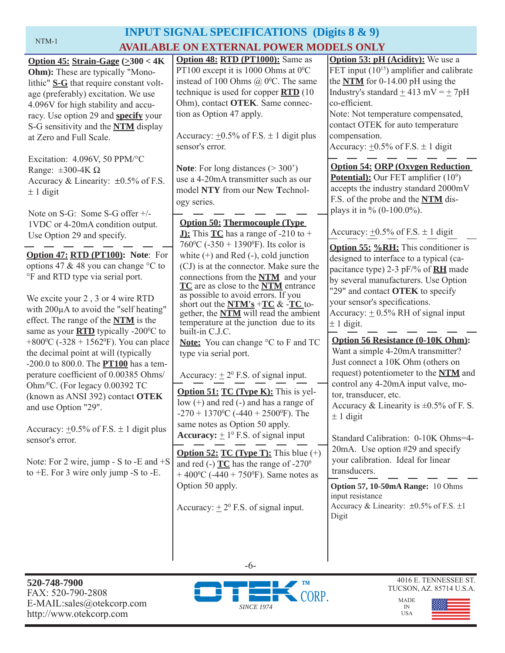#### NTM-1

# **INPUT SIGNAL SPECIFICATIONS (Digits 8 & 9) AVAILABLE ON EXTERNAL POWER MODELS ONLY**

| Option $45: Strain-Gage \ ( \geq 300 < 4K)$              | Option 48: RTD (PT1000): Same as                                | <b>Option 53: pH (Acidity):</b> We use a          |
|----------------------------------------------------------|-----------------------------------------------------------------|---------------------------------------------------|
| <b>Ohm</b> ): These are typically "Mono-                 | PT100 except it is 1000 Ohms at 0°C                             | FET input $(10^{15})$ amplifier and calibrate     |
| lithic" S-G that require constant volt-                  | instead of 100 Ohms $@$ 0 <sup>o</sup> C. The same              | the $NTM$ for 0-14.00 pH using the                |
|                                                          | technique is used for copper $\overline{RTD}$ (10               | Industry's standard $\pm$ 413 mV = $\pm$ 7pH      |
| age (preferably) excitation. We use                      | Ohm), contact OTEK. Same connec-                                | co-efficient.                                     |
| 4.096V for high stability and accu-                      |                                                                 |                                                   |
| racy. Use option 29 and specify your                     | tion as Option 47 apply.                                        | Note: Not temperature compensated,                |
| S-G sensitivity and the <b>NTM</b> display               |                                                                 | contact OTEK for auto temperature                 |
| at Zero and Full Scale.                                  | Accuracy: $\pm 0.5\%$ of F.S. $\pm 1$ digit plus                | compensation.                                     |
|                                                          | sensor's error.                                                 | Accuracy: $\pm 0.5\%$ of F.S. $\pm 1$ digit       |
| Excitation: 4.096V, 50 PPM/°C                            |                                                                 |                                                   |
| Range: $\pm 300 - 4K \Omega$                             | <b>Note:</b> For long distances $(>300)$                        | <b>Option 54: ORP (Oxygen Reduction)</b>          |
| Accuracy & Linearity: $\pm 0.5\%$ of F.S.                | use a 4-20mA transmitter such as our                            | Potential): Our FET amplifier (10 <sup>9</sup> )  |
| $\pm$ 1 digit                                            | model NTY from our New Technol-                                 | accepts the industry standard 2000mV              |
|                                                          | ogy series.                                                     | F.S. of the probe and the NTM dis-                |
| Note on S-G: Some S-G offer +/-                          |                                                                 | plays it in % $(0-100.0\%)$ .                     |
| 1VDC or 4-20mA condition output.                         | <b>Option 50: Thermocouple (Type)</b>                           |                                                   |
| Use Option 29 and specify.                               | <b>J):</b> This $TC$ has a range of -210 to +                   | Accuracy: $\pm 0.5\%$ of F.S. $\pm$ 1 digit       |
|                                                          | 760 °C (-350 + 1390 °F). Its color is                           |                                                   |
| Option 47: RTD (PT100): Note: For                        | white $(+)$ and Red $(-)$ , cold junction                       | <b>Option 55: %RH:</b> This conditioner is        |
| options 47 & 48 you can change °C to                     | (CJ) is at the connector. Make sure the                         | designed to interface to a typical (ca-           |
| °F and RTD type via serial port.                         | connections from the <b>NTM</b> and your                        | pacitance type) 2-3 pF/% of <b>RH</b> made        |
|                                                          | TC are as close to the NTM entrance                             | by several manufacturers. Use Option              |
| We excite your 2, 3 or 4 wire RTD                        | as possible to avoid errors. If you                             | "29" and contact OTEK to specify                  |
|                                                          | short out the $NTM's + TC > TC$ to-                             | your sensor's specifications.                     |
| with 200µA to avoid the "self heating"                   | gether, the <b>NTM</b> will read the ambient                    | Accuracy: $\pm$ 0.5% RH of signal input           |
| effect. The range of the <b>NTM</b> is the               | temperature at the junction due to its                          | $± 1$ digit.                                      |
| same as your <b>RTD</b> typically -200°C to              | built-in C.J.C.                                                 |                                                   |
| +800 $\rm{^0C}$ (-328 + 1562 $\rm{^0F}$ ). You can place | <b>Note:</b> You can change °C to F and TC                      | <b>Option 56 Resistance (0-10K Ohm):</b>          |
| the decimal point at will (typically                     | type via serial port.                                           | Want a simple 4-20mA transmitter?                 |
| -200.0 to 800.0. The <b>PT100</b> has a tem-             |                                                                 | Just connect a 10K Ohm (others on                 |
| perature coefficient of 0.00385 Ohms/                    | Accuracy: $\pm 2^0$ F.S. of signal input.                       | request) potentiometer to the NTM and             |
| Ohm/ <sup>0</sup> C. (For legacy 0.00392 TC              |                                                                 | control any 4-20mA input valve, mo-               |
| (known as ANSI 392) contact OTEK                         | <b>Option 51:</b> $TC$ (Type $K$ ): This is yel-                | tor, transducer, etc.                             |
| and use Option "29".                                     | low $(+)$ and red $(-)$ and has a range of                      | Accuracy & Linearity is $\pm 0.5\%$ of F. S.      |
|                                                          | -270 + 1370 <sup>o</sup> C (-440 + 2500 <sup>o</sup> F). The    | $\pm$ 1 digit                                     |
| Accuracy: $\pm 0.5\%$ of F.S. $\pm$ 1 digit plus         | same notes as Option 50 apply.                                  |                                                   |
| sensor's error.                                          | <b>Accuracy:</b> $\pm 1^0$ F.S. of signal input                 | Standard Calibration: 0-10K Ohms=4-               |
|                                                          |                                                                 | 20mA. Use option #29 and specify                  |
| Note: For 2 wire, jump - S to -E and $+S$                | <b>Option 52: TC (Type T):</b> This blue $(+)$                  | your calibration. Ideal for linear                |
| to $+E$ . For 3 wire only jump -S to -E.                 | and red (-) $TC$ has the range of -270 <sup>0</sup>             | transducers.                                      |
|                                                          | + 400 <sup>o</sup> C (-440 + 750 <sup>o</sup> F). Same notes as |                                                   |
|                                                          | Option 50 apply.                                                | Option 57, 10-50mA Range: 10 Ohms                 |
|                                                          |                                                                 | input resistance                                  |
|                                                          | Accuracy: $\pm 2^{\circ}$ F.S. of signal input.                 | Accuracy & Linearity: $\pm 0.5\%$ of F.S. $\pm 1$ |
|                                                          |                                                                 | Digit                                             |
|                                                          |                                                                 |                                                   |
|                                                          |                                                                 |                                                   |
|                                                          |                                                                 |                                                   |
|                                                          |                                                                 |                                                   |



-6-



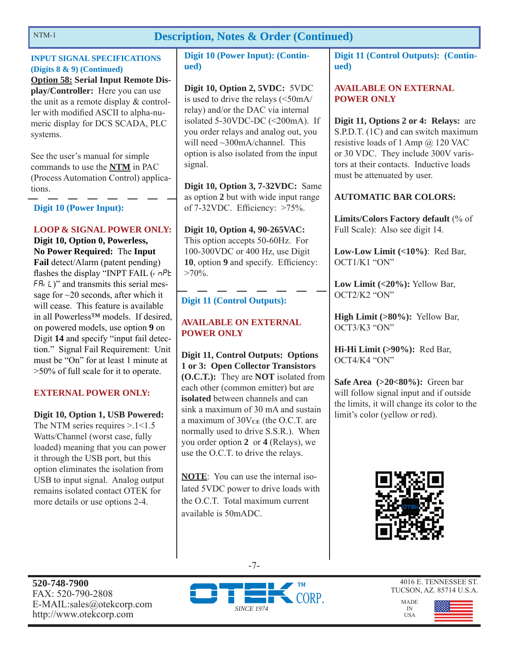### **Description, Notes & Order (Continued)**

### **INPUT SIGNAL SPECIFICATIONS (Digits 8 & 9) (Continued)**

**Option 58: Serial Input Remote Display/Controller:** Here you can use the unit as a remote display & controller with modified ASCII to alpha-numeric display for DCS SCADA, PLC systems.

See the user's manual for simple commands to use the **NTM** in PAC (Process Automation Control) applications.

### **Digit 10 (Power Input):**

### **LOOP & SIGNAL POWER ONLY:**

**Digit 10, Option 0, Powerless, No Power Required:** The **Input Fail** detect/Alarm (patent pending) flashes the display "INPT FAIL  $(r \cap P$ E  $FA$ , L)" and transmits this serial message for ~20 seconds, after which it will cease. This feature is available in all Powerless™ models. If desired, on powered models, use option **9** on Digit **14** and specify "input fail detection." Signal Fail Requirement: Unit must be "On" for at least 1 minute at >50% of full scale for it to operate.

### **EXTERNAL POWER ONLY:**

### **Digit 10, Option 1, USB Powered:**

The NTM series requires  $> 1 < 1.5$ Watts/Channel (worst case, fully loaded) meaning that you can power it through the USB port, but this option eliminates the isolation from USB to input signal. Analog output remains isolated contact OTEK for more details or use options 2-4.

### **Digit 10 (Power Input): (Continued)**

**Digit 10, Option 2, 5VDC:** 5VDC is used to drive the relays (<50mA/ relay) and/or the DAC via internal isolated 5-30VDC-DC (<200mA). If you order relays and analog out, you will need ~300mA/channel. This option is also isolated from the input signal.

**Digit 10, Option 3, 7-32VDC:** Same as option **2** but with wide input range of  $7-32$ VDC. Efficiency:  $>75\%$ .

**Digit 10, Option 4, 90-265VAC:** This option accepts 50-60Hz. For 100-300VDC or 400 Hz, use Digit **10**, option **9** and specify. Efficiency:  $>70\%$ .

### **Digit 11 (Control Outputs):**

### **AVAILABLE ON EXTERNAL POWER ONLY**

**Digit 11, Control Outputs: Options 1 or 3: Open Collector Transistors (O.C.T.):** They are **NOT** isolated from each other (common emitter) but are **isolated** between channels and can sink a maximum of 30 mA and sustain a maximum of  $30V_{CE}$  (the O.C.T. are normally used to drive S.S.R.). When you order option **2** or **4** (Relays), we use the O.C.T. to drive the relays.

**NOTE**: You can use the internal isolated 5VDC power to drive loads with the  $OCT$  Total maximum current available is 50mADC.

**Digit 11 (Control Outputs): (Continued)**

### **AVAILABLE ON EXTERNAL POWER ONLY**

**Digit 11, Options 2 or 4: Relays:** are S.P.D.T. (1C) and can switch maximum resistive loads of 1 Amp @ 120 VAC or 30 VDC. They include 300V varistors at their contacts. Inductive loads must be attenuated by user.

### **AUTOMATIC BAR COLORS:**

**Limits/Colors Factory default** (% of Full Scale): Also see digit 14.

**Low-Low Limit (<10%)**: Red Bar, OCT1/K1 "ON"

**Low Limit (<20%):** Yellow Bar, OCT2/K2 "ON"

**High Limit (>80%):** Yellow Bar, OCT3/K3 "ON"

**Hi-Hi Limit (>90%):** Red Bar, OCT4/K4 "ON"

**Safe Area (>20<80%):** Green bar will follow signal input and if outside the limits, it will change its color to the limit's color (yellow or red).





4016 E. TENNESSEE ST. TUCSON, AZ. 85714 U.S.A.

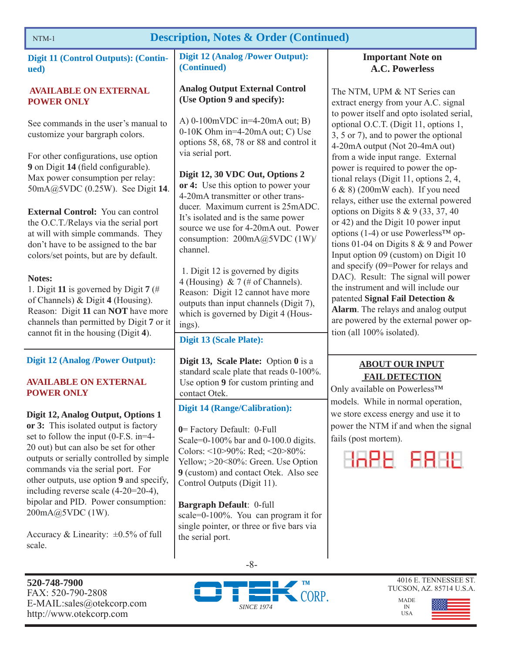### **Description, Notes & Order (Continued)**

| <b>Digit 11 (Control Outputs): (Contin-</b><br>ued)                                                                                                                                                                                                                                                                                   | <b>Digit 12 (Analog /Power Output):</b><br>(Continued)                                                                                                                                                                                                      | <b>Important Note on</b><br><b>A.C. Powerless</b>                                                                                                                                                                                                                   |
|---------------------------------------------------------------------------------------------------------------------------------------------------------------------------------------------------------------------------------------------------------------------------------------------------------------------------------------|-------------------------------------------------------------------------------------------------------------------------------------------------------------------------------------------------------------------------------------------------------------|---------------------------------------------------------------------------------------------------------------------------------------------------------------------------------------------------------------------------------------------------------------------|
| <b>AVAILABLE ON EXTERNAL</b><br><b>POWER ONLY</b>                                                                                                                                                                                                                                                                                     | <b>Analog Output External Control</b><br>(Use Option 9 and specify):                                                                                                                                                                                        | The NTM, UPM & NT Series can<br>extract energy from your A.C. signal                                                                                                                                                                                                |
| See commands in the user's manual to<br>customize your bargraph colors.                                                                                                                                                                                                                                                               | A) $0-100$ mVDC in=4-20mA out; B)<br>0-10K Ohm in=4-20mA out; C) Use<br>options 58, 68, 78 or 88 and control it                                                                                                                                             | to power itself and opto isolated serial,<br>optional O.C.T. (Digit 11, options 1,<br>3, 5 or 7), and to power the optional<br>4-20mA output (Not 20-4mA out)                                                                                                       |
| For other configurations, use option<br>9 on Digit 14 (field configurable).<br>Max power consumption per relay:<br>50mA@5VDC (0.25W). See Digit 14.                                                                                                                                                                                   | via serial port.<br>Digit 12, 30 VDC Out, Options 2<br>or 4: Use this option to power your<br>4-20mA transmitter or other trans-                                                                                                                            | from a wide input range. External<br>power is required to power the op-<br>tional relays (Digit 11, options 2, 4,<br>$6 & 8$ (200mW each). If you need                                                                                                              |
| <b>External Control:</b> You can control<br>the O.C.T./Relays via the serial port<br>at will with simple commands. They<br>don't have to be assigned to the bar<br>colors/set points, but are by default.                                                                                                                             | ducer. Maximum current is 25mADC.<br>It's isolated and is the same power<br>source we use for 4-20mA out. Power<br>consumption: 200mA@5VDC (1W)/<br>channel.                                                                                                | relays, either use the external powered<br>options on Digits $8 \& 9 (33, 37, 40)$<br>or 42) and the Digit 10 power input<br>options (1-4) or use Powerless <sup>TM</sup> op-<br>tions 01-04 on Digits 8 & 9 and Power<br>Input option 09 (custom) on Digit 10      |
| Notes:<br>1. Digit 11 is governed by Digit 7 (#<br>of Channels) & Digit 4 (Housing).<br>Reason: Digit 11 can NOT have more<br>channels than permitted by Digit 7 or it<br>cannot fit in the housing (Digit 4).                                                                                                                        | 1. Digit 12 is governed by digits<br>4 (Housing) & 7 (# of Channels).<br>Reason: Digit 12 cannot have more<br>outputs than input channels (Digit 7),<br>which is governed by Digit 4 (Hous-<br>ings).                                                       | and specify (09=Power for relays and<br>DAC). Result: The signal will power<br>the instrument and will include our<br>patented Signal Fail Detection &<br>Alarm. The relays and analog output<br>are powered by the external power op-<br>tion (all 100% isolated). |
| <b>Digit 12 (Analog /Power Output):</b>                                                                                                                                                                                                                                                                                               | <b>Digit 13 (Scale Plate):</b><br>Digit 13, Scale Plate: Option 0 is a                                                                                                                                                                                      | <b>ABOUT OUR INPUT</b>                                                                                                                                                                                                                                              |
| <b>AVAILABLE ON EXTERNAL</b><br><b>POWER ONLY</b>                                                                                                                                                                                                                                                                                     | standard scale plate that reads 0-100%.<br>Use option 9 for custom printing and<br>contact Otek.                                                                                                                                                            | <b>FAIL DETECTION</b><br>Only available on Powerless™                                                                                                                                                                                                               |
| Digit 12, Analog Output, Options 1<br>or 3: This isolated output is factory<br>set to follow the input (0-F.S. in=4-<br>20 out) but can also be set for other<br>outputs or serially controlled by simple<br>commands via the serial port. For<br>other outputs, use option 9 and specify,<br>including reverse scale $(4-20=20-4)$ , | <b>Digit 14 (Range/Calibration):</b><br>0 = Factory Default: 0-Full<br>Scale=0-100% bar and 0-100.0 digits.<br>Colors: <10>90%: Red; <20>80%:<br>Yellow; >20<80%: Green. Use Option<br>9 (custom) and contact Otek. Also see<br>Control Outputs (Digit 11). | models. While in normal operation,<br>we store excess energy and use it to<br>power the NTM if and when the signal<br>fails (post mortem).<br>HAPE FRHE                                                                                                             |
| bipolar and PID. Power consumption:<br>200mA@5VDC (1W).<br>Accuracy & Linearity: $\pm 0.5\%$ of full<br>scale.                                                                                                                                                                                                                        | Bargraph Default: 0-full<br>scale=0-100%. You can program it for<br>single pointer, or three or five bars via<br>the serial port.                                                                                                                           |                                                                                                                                                                                                                                                                     |
|                                                                                                                                                                                                                                                                                                                                       | $-8-$                                                                                                                                                                                                                                                       |                                                                                                                                                                                                                                                                     |



MADE IN USA

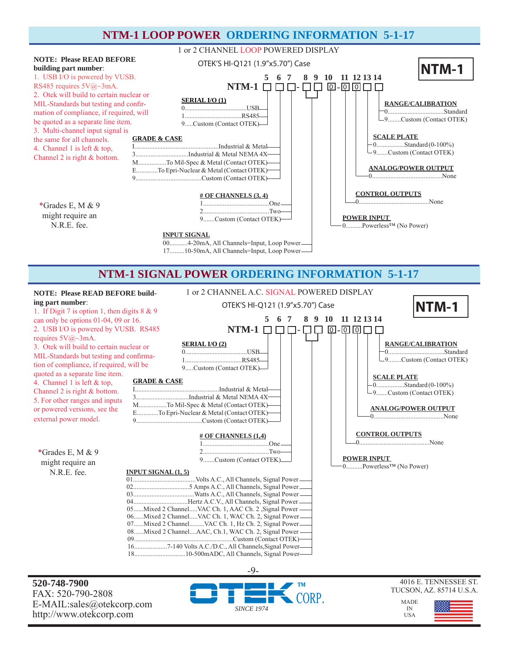### **NTM-1 LOOP POWER ORDERING INFORMATION 5-1-17**



#### OTEK'S HI-Q121 (1.9"x5.70") Case **NOTE: Please READ BEFORE build-** 1 or 2 CHANNEL A.C. SIGNAL POWERED DISPLAY **ing part number**: 1. If Digit 7 is option 1, then digits 8 & 9 can only be options 01-04, 09 or 16.  **5 6 7 8 9 10 11 12 13 14 NTM-1 SIGNAL POWER ORDERING INFORMATION 5-1-17 NTM-1**



**520-748-7900** FAX: 520-790-2808 E-MAIL:sales@otekcorp.com http://www.otekcorp.com





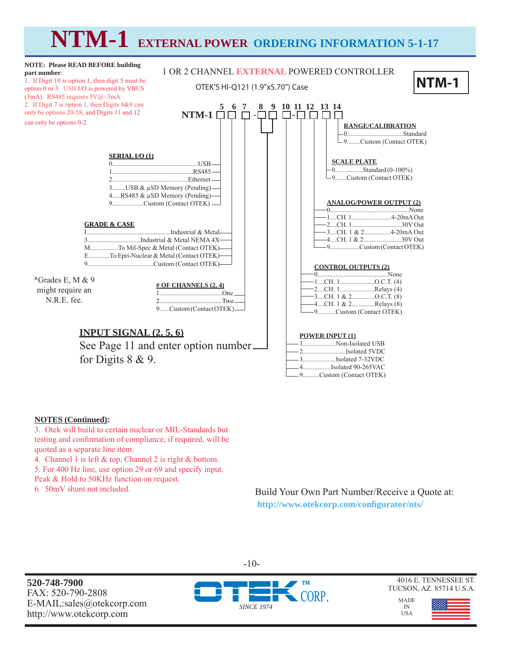# **NTM-1 EXTERNAL POWER ORDERING INFORMATION 5-1-17**



#### **NOTES (Continued):**

3. Otek will build to certain nuclear or MIL-Standards but testing and confirmation of compliance, if required, will be quoted as a separate line item.

4. Channel 1 is left & top, Channel 2 is right & bottom.

5. For 400 Hz line, use option 29 or 69 and specify input.

Peak & Hold to 50KHz function on request.

6. 50mV shunt not included.

Build Your Own Part Number/Receive a Quote at:  **http://www.otekcorp.com/confi gurator/nts**/

**520-748-7900** FAX: 520-790-2808 E-MAIL:sales@otekcorp.com http://www.otekcorp.com



-10-

4016 E. TENNESSEE ST. TUCSON, AZ. 85714 U.S.A.

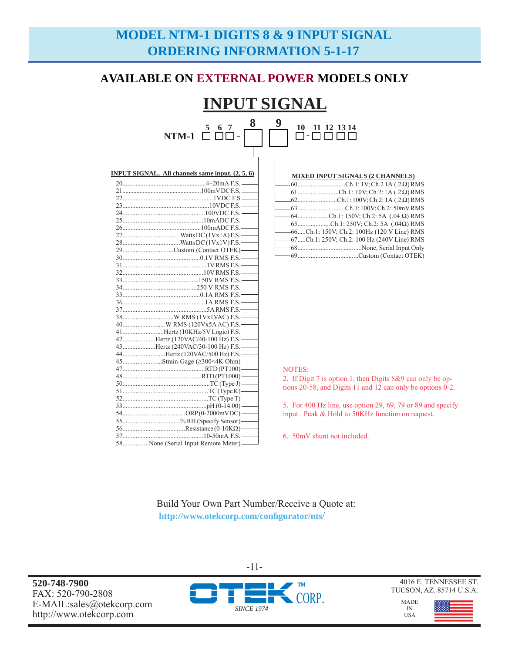# **MODEL NTM-1 DIGITS 8 & 9 INPUT SIGNAL ORDERING INFORMATION 5-1-17**

### **AVAILABLE ON EXTERNAL POWER MODELS ONLY**

#### **INPUT SIGNAL 5 6 7**  NTM-1 □ □□-**8 9**  - **10 11 12 13 14**

| <b>INPUT SIGNAL, All channels same input. (2, 5, 6)</b> |
|---------------------------------------------------------|
|                                                         |
|                                                         |
|                                                         |
|                                                         |
|                                                         |
|                                                         |
|                                                         |
|                                                         |
|                                                         |
| 29Custom (Contact OTEK)——                               |
|                                                         |
|                                                         |
|                                                         |
|                                                         |
|                                                         |
|                                                         |
|                                                         |
|                                                         |
|                                                         |
|                                                         |
| 41Hertz (10KHz/5V Logic) F.S.                           |
| 42Hertz (120VAC/40-100 Hz) F.S.                         |
| 43Hertz (240VAC/30-100 Hz) F.S.                         |
| 44Hertz (120VAC/500 Hz) F.S.                            |
| 45Strain-Gage (≥300<4K Ohm)——                           |
|                                                         |
|                                                         |
|                                                         |
|                                                         |
|                                                         |
|                                                         |
|                                                         |
| 55% RH (Specify Sensor)——                               |
|                                                         |
| $10-50 \text{ mA} \text{ FS}$ $-$                       |

58................None (Serial Input Remote Meter) -

| <b>MIXED INPUT SIGNALS (2 CHANNELS)</b>        |
|------------------------------------------------|
| $-60$ Ch.1:1V; Ch.2 1A (.2 $\Omega$ ) RMS      |
| $-61$ Ch.1: 10V; Ch.2: 1A (.2 $\Omega$ ) RMS   |
| $-62$ Ch.1:100V; Ch.2:1A (.2 $\Omega$ ) RMS    |
| -63Ch.1:100V; Ch.2: 50mVRMS                    |
| $-64$ Ch.1: 150V; Ch.2: 5A (.04 $\Omega$ ) RMS |
| $-65$ Ch.1: 250V; Ch.2: 5A (.04 $\Omega$ ) RMS |
| -66Ch.1: 150V; Ch.2: 100Hz (120 V Line) RMS    |
| -67Ch.1: 250V; Ch.2: 100 Hz (240V Line) RMS    |
|                                                |
|                                                |

#### NOTES:

2. If Digit 7 is option 1, then Digits 8&9 can only be options 20-58, and Digits 11 and 12 can only be options 0-2.

5. For 400 Hz line, use option 29, 69, 79 or 89 and specify input. Peak & Hold to 50KHz function on request.

6. 50mV shunt not included.

Build Your Own Part Number/Receive a Quote at:  **http://www.otekcorp.com/confi gurator/nts**/

**520-748-7900** FAX: 520-790-2808 E-MAIL:sales@otekcorp.com http://www.otekcorp.com



-11-

4016 E. TENNESSEE ST. TUCSON, AZ. 85714 U.S.A.